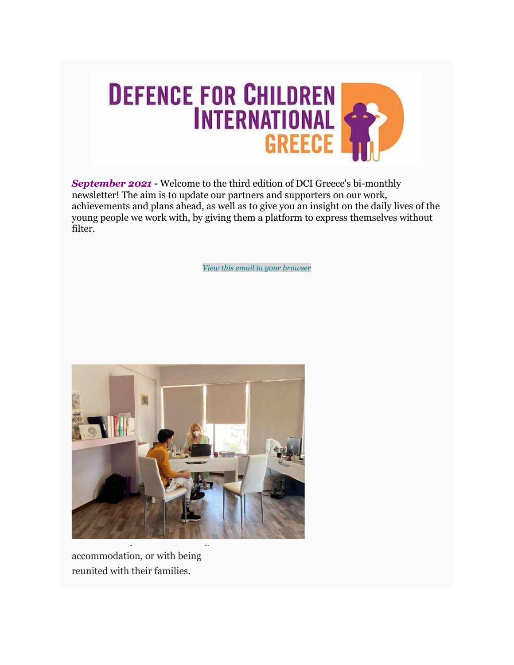

*September 2021 -* Welcome to the third edition of DCI Greece's bi-monthly newsletter! The aim is to update our partners and supporters on our work, achievements and plans ahead, as well as to give you an insight on the daily lives of the young people we work with, by giving them a platform to express themselves without filter.

*[View this email in your browser](https://mailchi.mp/bee1b1792789/dci-greece-april-newsletter-4132469?e=fff96c0f41)*



accommodation, or with being reunited with their families.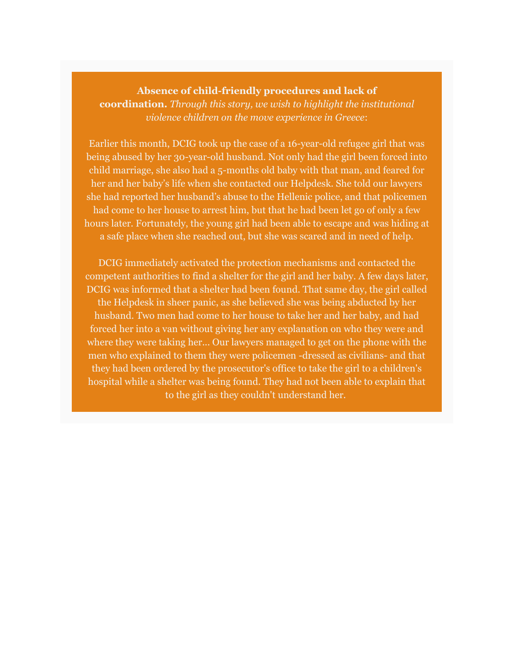## **Absence of child-friendly procedures and lack of coordination.** *Through this story, we wish to highlight the institutional violence children on the move experience in Greece*:

Earlier this month, DCIG took up the case of a 16-year-old refugee girl that was being abused by her 30-year-old husband. Not only had the girl been forced into child marriage, she also had a 5-months old baby with that man, and feared for her and her baby's life when she contacted our Helpdesk. She told our lawyers she had reported her husband's abuse to the Hellenic police, and that policemen had come to her house to arrest him, but that he had been let go of only a few hours later. Fortunately, the young girl had been able to escape and was hiding at a safe place when she reached out, but she was scared and in need of help.

DCIG immediately activated the protection mechanisms and contacted the competent authorities to find a shelter for the girl and her baby. A few days later, DCIG was informed that a shelter had been found. That same day, the girl called the Helpdesk in sheer panic, as she believed she was being abducted by her husband. Two men had come to her house to take her and her baby, and had forced her into a van without giving her any explanation on who they were and where they were taking her... Our lawyers managed to get on the phone with the men who explained to them they were policemen -dressed as civilians- and that they had been ordered by the prosecutor's office to take the girl to a children's hospital while a shelter was being found. They had not been able to explain that to the girl as they couldn't understand her.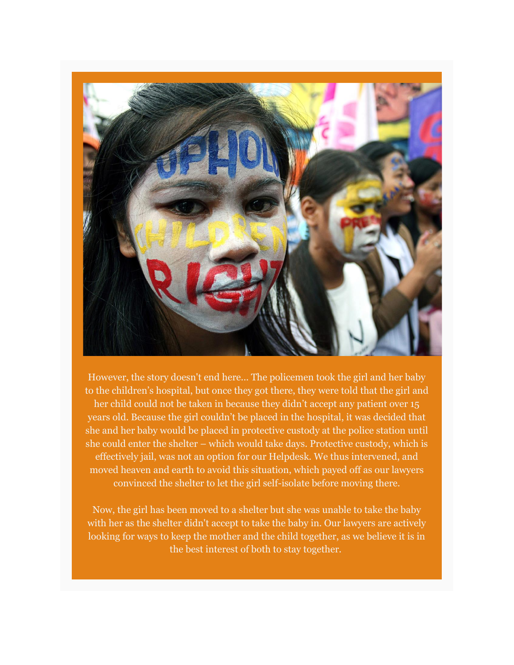

However, the story doesn't end here... The policemen took the girl and her baby to the children's hospital, but once they got there, they were told that the girl and her child could not be taken in because they didn't accept any patient over 15 years old. Because the girl couldn't be placed in the hospital, it was decided that she and her baby would be placed in protective custody at the police station until she could enter the shelter – which would take days. Protective custody, which is effectively jail, was not an option for our Helpdesk. We thus intervened, and moved heaven and earth to avoid this situation, which payed off as our lawyers convinced the shelter to let the girl self-isolate before moving there.

Now, the girl has been moved to a shelter but she was unable to take the baby with her as the shelter didn't accept to take the baby in. Our lawyers are actively looking for ways to keep the mother and the child together, as we believe it is in the best interest of both to stay together.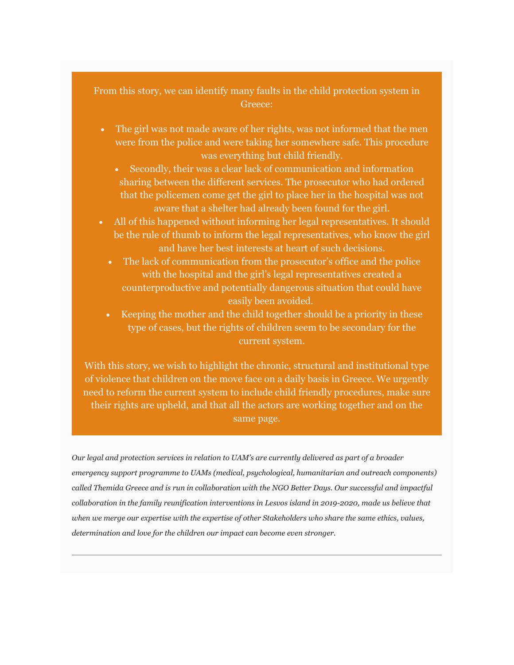## From this story, we can identify many faults in the child protection system in Greece:

- The girl was not made aware of her rights, was not informed that the men were from the police and were taking her somewhere safe. This procedure was everything but child friendly.
	- Secondly, their was a clear lack of communication and information sharing between the different services. The prosecutor who had ordered that the policemen come get the girl to place her in the hospital was not aware that a shelter had already been found for the girl.
- All of this happened without informing her legal representatives. It should be the rule of thumb to inform the legal representatives, who know the girl and have her best interests at heart of such decisions.
	- The lack of communication from the prosecutor's office and the police with the hospital and the girl's legal representatives created a counterproductive and potentially dangerous situation that could have easily been avoided.
	- Keeping the mother and the child together should be a priority in these type of cases, but the rights of children seem to be secondary for the current system.

With this story, we wish to highlight the chronic, structural and institutional type of violence that children on the move face on a daily basis in Greece. We urgently need to reform the current system to include child friendly procedures, make sure their rights are upheld, and that all the actors are working together and on the same page.

*Our legal and protection services in relation to UAM's are currently delivered as part of a broader emergency support programme to UAMs (medical, psychological, humanitarian and outreach components) called Themida Greece and is run in collaboration with the NGO Better Days. Our successful and impactful collaboration in the family reunification interventions in Lesvos island in 2019-2020, made us believe that*  when we merge our expertise with the expertise of other Stakeholders who share the same ethics, values, *determination and love for the children our impact can become even stronger.*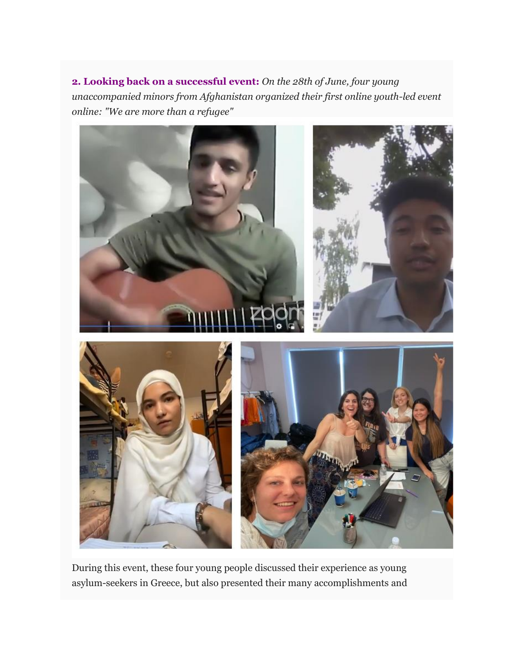**2. Looking back on a successful event:** *On the 28th of June, four young unaccompanied minors from Afghanistan organized their first online youth-led event online: "We are more than a refugee"*



During this event, these four young people discussed their experience as young asylum-seekers in Greece, but also presented their many accomplishments and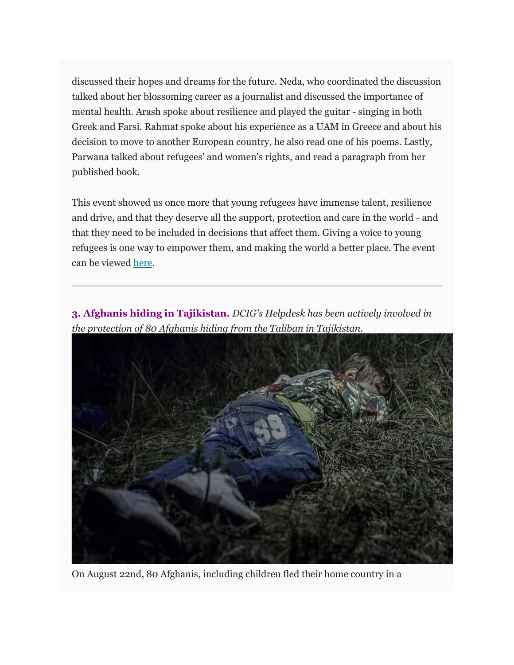discussed their hopes and dreams for the future. Neda, who coordinated the discussion talked about her blossoming career as a journalist and discussed the importance of mental health. Arash spoke about resilience and played the guitar - singing in both Greek and Farsi. Rahmat spoke about his experience as a UAM in Greece and about his decision to move to another European country, he also read one of his poems. Lastly, Parwana talked about refugees' and women's rights, and read a paragraph from her published book.

This event showed us once more that young refugees have immense talent, resilience and drive, and that they deserve all the support, protection and care in the world - and that they need to be included in decisions that affect them. Giving a voice to young refugees is one way to empower them, and making the world a better place. The event can be viewed [here.](https://www.facebook.com/DCIGREECE/videos/1631332677059845)

**3. Afghanis hiding in Tajikistan.** *DCIG's Helpdesk has been actively involved in the protection of 80 Afghanis hiding from the Taliban in Tajikistan.*



On August 22nd, 80 Afghanis, including children fled their home country in a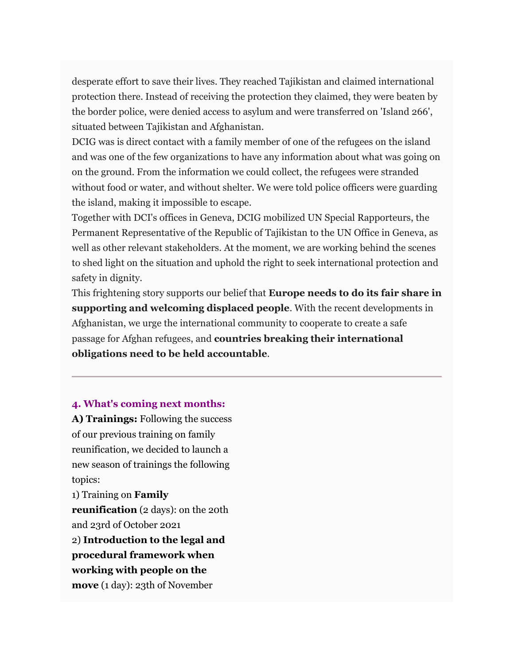desperate effort to save their lives. They reached Tajikistan and claimed international protection there. Instead of receiving the protection they claimed, they were beaten by the border police, were denied access to asylum and were transferred on 'Island 266', situated between Tajikistan and Afghanistan.

DCIG was is direct contact with a family member of one of the refugees on the island and was one of the few organizations to have any information about what was going on on the ground. From the information we could collect, the refugees were stranded without food or water, and without shelter. We were told police officers were guarding the island, making it impossible to escape.

Together with DCI's offices in Geneva, DCIG mobilized UN Special Rapporteurs, the Permanent Representative of the Republic of Tajikistan to the UN Office in Geneva, as well as other relevant stakeholders. At the moment, we are working behind the scenes to shed light on the situation and uphold the right to seek international protection and safety in dignity.

This frightening story supports our belief that **Europe needs to do its fair share in supporting and welcoming displaced people**. With the recent developments in Afghanistan, we urge the international community to cooperate to create a safe passage for Afghan refugees, and **countries breaking their international obligations need to be held accountable**.

## **4. What's coming next months:**

**A) Trainings:** Following the success of our previous training on family reunification, we decided to launch a new season of trainings the following topics:

1) Training on **Family reunification** (2 days): on the 20th and 23rd of October 2021 2) **Introduction to the legal and procedural framework when working with people on the move** (1 day): 23th of November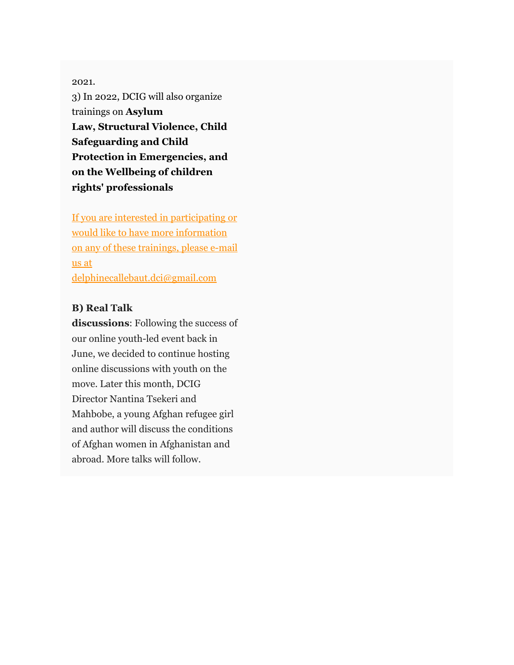2021.

3) In 2022, DCIG will also organize trainings on **Asylum Law, Structural Violence, Child Safeguarding and Child Protection in Emergencies, and on the Wellbeing of children rights' professionals**

If you are interested in participating or would like to have more information on any of these trainings, please e-mail us at delphinecallebaut.dci@gmail.com

#### **B) Real Talk**

**discussions**: Following the success of our online youth-led event back in June, we decided to continue hosting online discussions with youth on the move. Later this month, DCIG Director Nantina Tsekeri and Mahbobe, a young Afghan refugee girl and author will discuss the conditions of Afghan women in Afghanistan and abroad. More talks will follow.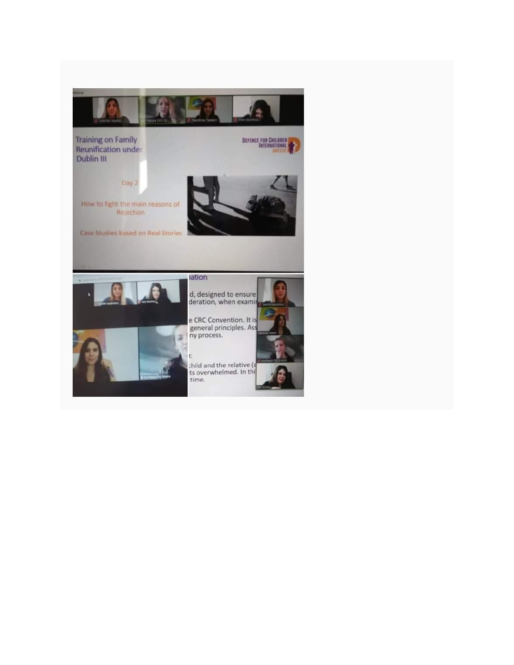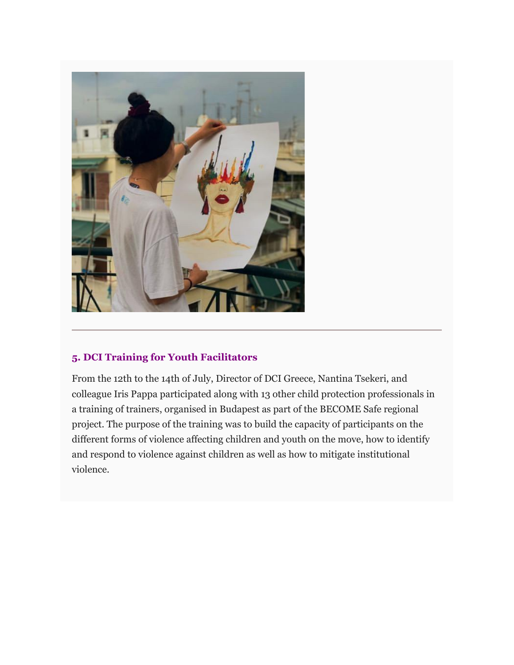

# **5. DCI Training for Youth Facilitators**

From the 12th to the 14th of July, Director of DCI Greece, Nantina Tsekeri, and colleague Iris Pappa participated along with 13 other child protection professionals in a training of trainers, organised in Budapest as part of the BECOME Safe regional project. The purpose of the training was to build the capacity of participants on the different forms of violence affecting children and youth on the move, how to identify and respond to violence against children as well as how to mitigate institutional violence.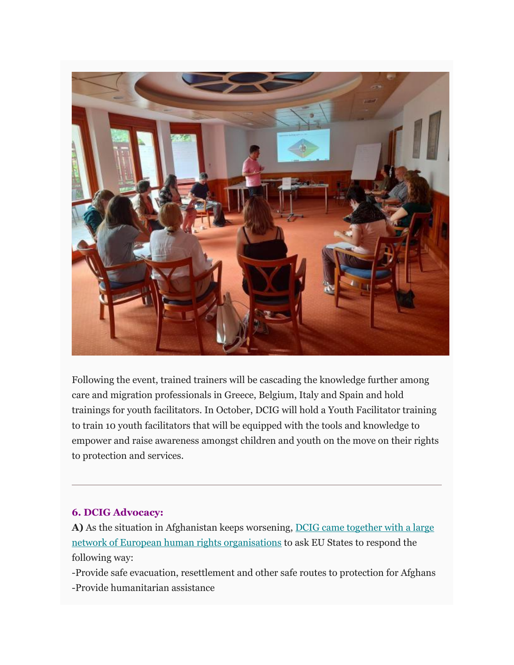

Following the event, trained trainers will be cascading the knowledge further among care and migration professionals in Greece, Belgium, Italy and Spain and hold trainings for youth facilitators. In October, DCIG will hold a Youth Facilitator training to train 10 youth facilitators that will be equipped with the tools and knowledge to empower and raise awareness amongst children and youth on the move on their rights to protection and services.

## **6. DCIG Advocacy:**

**A)** As the situation in Afghanistan keeps worsening, [DCIG came together](https://790023b4-e73d-4390-ab95-f768d5355d24.filesusr.com/ugd/936582_6759031f110749c190efe6545da5df8f.pdf?fbclid=IwAR0uORM521sQaN8z4-RecyRjSsTRKJz3onu2ixrL0IUmrYhCtG7BU7IuhMU) with a large [network of European human rights organisations](https://790023b4-e73d-4390-ab95-f768d5355d24.filesusr.com/ugd/936582_6759031f110749c190efe6545da5df8f.pdf?fbclid=IwAR0uORM521sQaN8z4-RecyRjSsTRKJz3onu2ixrL0IUmrYhCtG7BU7IuhMU) to ask EU States to respond the following way:

-Provide safe evacuation, resettlement and other safe routes to protection for Afghans -Provide humanitarian assistance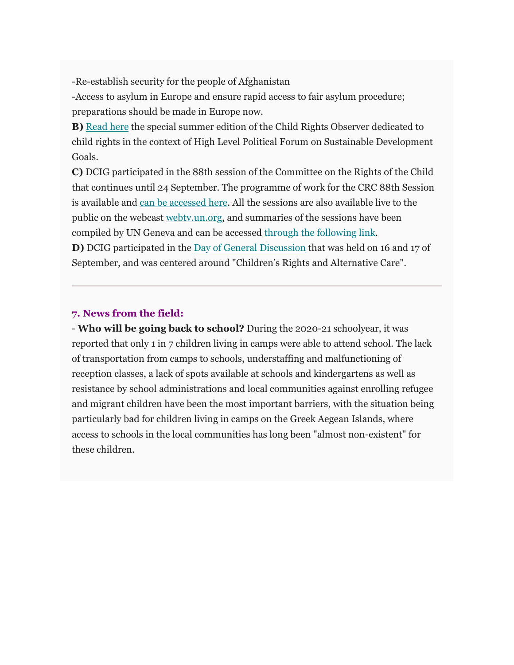-Re-establish security for the people of Afghanistan

-Access to asylum in Europe and ensure rapid access to fair asylum procedure; preparations should be made in Europe now.

**B)** Read here the special summer edition of the Child Rights Observer dedicated to child rights in the context of High Level Political Forum on Sustainable Development Goals.

**C)** DCIG participated in the 88th session of the Committee on the Rights of the Child that continues until 24 September. The programme of work for the CRC 88th Session is available and [can be accessed here.](https://5pfpr.r.a.d.sendibm1.com/mk/cl/f/5V67eh2C8yTr3PFU2Vl4-uXa5NomzN3QjtgORfF54OX_Jdcu1yn5pnxhjxCb3Q4PWimDY7MCMNth66IkoW_OydZOiop1Br8Fi0gg5qGOJ5glDU01RyI3VR1UikV14QcHJcbyIIWN4eJ2BFrxTnfDmtXS_tiTTHmNbxcPDhy0LVhzR1ilj6mnvbu2E-eGo0in40BOL2mBvrJP5KVHjwBTwoMkYVYqEoUbldMUc_xm3pLsmtIw54o_uFPSvCwRXLH_Gdw9SlYEYfQTH8x9JJ278NxEdPHCXr8uGwJaXgxNoV3dOf52hnPnz-CO7R91K3pZ-XjGr90z1pz0-BYTJqff_C0Zlam8jonAP-2q2yDM4oH6nsgbojlgYDuQ8n32f8vcToSpDhSvNwG8WF8W) All the sessions are also available live to the public on the webcast [webtv.un.org,](https://5pfpr.r.a.d.sendibm1.com/mk/cl/f/BheS4L5huK0NpKo4jUmjWo7LJWgm_-FQyNAk7toBMHsvYG0OR0wDiZ5HLX2x7mgzLS3txjSnwKVUhGtW8nprgiiRQvws6524rxsIqp-hCzPhsrBA4ggsv4MrB9-SYtjDFBxLKeCJh0GWiLwG9beBJxHr6ZX37ZcL-BRX32VgVzfm-Hpmhnv1mkT8pVza3IoQ6zhbuS4E30Zhr7iTL3HGV3nRIWEGxVWYPifnnqeoAmlJ) and summaries of the sessions have been compiled by UN Geneva and can be accessed [through the following link.](https://5pfpr.r.a.d.sendibm1.com/mk/cl/f/FO1XVgbiYiOM_TWtggqmwZnMtEo-qd-DsHCIWzZv-nvpE9nSS_ABZZzVLEiP9jwRHqfcsxeDqAenv0e7DLWyV7Dc5hkRV6hzZPmoI3ZrtGYigrK8mV6L5uHpKW814HDGax-1iIg6XSMXPhO78HUcnRfBaktfewt3XU6jwussr5QC1OKMjRYvP4G_rq1PlxKThaJ2NspxOxEXvaunWSv_TypvoCL3MJ1DS7sxLdOHCgBDoT0GuIolrDE5n8pSUut2sH5WbPCo8HwS69NW6TkXyh9IQgW-G0UMlITNO07ddod2) **D)** DCIG participated in the [Day of General Discussion](https://5pfpr.r.a.d.sendibm1.com/mk/cl/f/Mv4wSHuVEN_AaIWGM7kpgHkufz36EU8hBdGmIdbUG1bPojLSXeVd_H8Wp5K0T9bpxF1gRzWJBr2pW0MfabZinc5nWDOCDui44EJlJ6frJ6k_wQTiuL-sNSdh4_q5sHMHpndYnB63hQ2twHLxY6ueMULp3Z91-wptYk8Ie-ZHy447dMQ7MXTetgnM_NfJ5suPoI5lMqvcC0soXWOlE770bzCXOPSEWSL3kK7mUBbDD5Is9qOOPoF9_1hfpDQjEeHMoGyWrtv8mtlXYgE4LfCCbCFlxMZIdZ1p0cDqI7x_i0iyiXeqnfM) that was held on 16 and 17 of September, and was centered around "Children's Rights and Alternative Care".

### **7. News from the field:**

- **Who will be going back to school?** During the 2020-21 schoolyear, it was reported that only 1 in 7 children living in camps were able to attend school. The lack of transportation from camps to schools, understaffing and malfunctioning of reception classes, a lack of spots available at schools and kindergartens as well as resistance by school administrations and local communities against enrolling refugee and migrant children have been the most important barriers, with the situation being particularly bad for children living in camps on the Greek Aegean Islands, where access to schools in the local communities has long been "almost non-existent" for these children.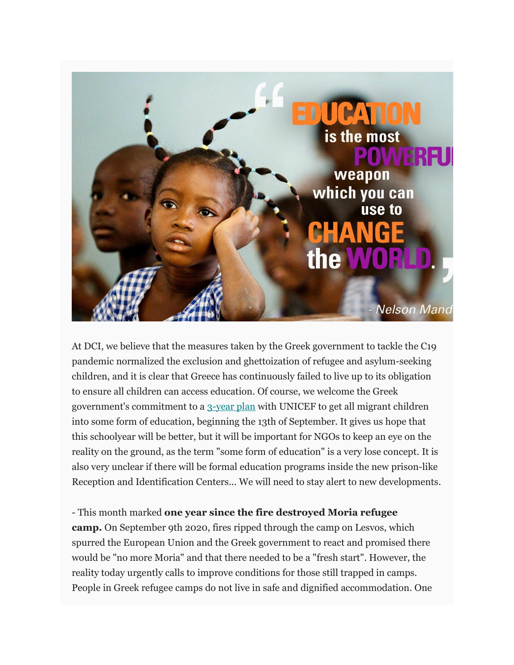

At DCI, we believe that the measures taken by the Greek government to tackle the C19 pandemic normalized the exclusion and ghettoization of refugee and asylum-seeking children, and it is clear that Greece has continuously failed to live up to its obligation to ensure all children can access education. Of course, we welcome the Greek government's commitment to a [3-year plan](https://theirworld.org/news/greece-plan-to-get-every-refugee-child-in-school) with UNICEF to get all migrant children into some form of education, beginning the 13th of September. It gives us hope that this schoolyear will be better, but it will be important for NGOs to keep an eye on the reality on the ground, as the term "some form of education" is a very lose concept. It is also very unclear if there will be formal education programs inside the new prison-like Reception and Identification Centers... We will need to stay alert to new developments.

- This month marked **one year since the fire destroyed Moria refugee camp.** On September 9th 2020, fires ripped through the camp on Lesvos, which spurred the European Union and the Greek government to react and promised there would be "no more Moria" and that there needed to be a "fresh start". However, the reality today urgently calls to improve conditions for those still trapped in camps. People in Greek refugee camps do not live in safe and dignified accommodation. One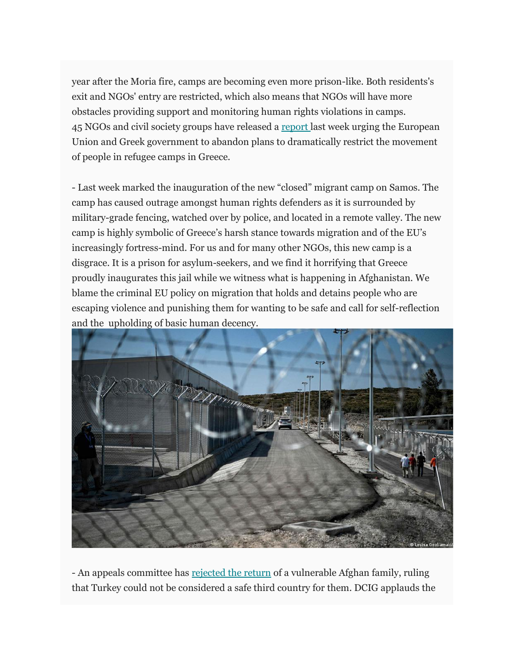year after the Moria fire, camps are becoming even more prison-like. Both residents's exit and NGOs' entry are restricted, which also means that NGOs will have more obstacles providing support and monitoring human rights violations in camps. 45 NGOs and civil society groups have released a [report](https://static1.squarespace.com/static/58e2b73fb3db2bb2904ca55b/t/613861608a14fd12145eccfc/1631084900692/09.21+-+Walling+off+welcome+-+joint+policy+briefing+%28September+2021) last week urging the European Union and Greek government to abandon plans to dramatically restrict the movement of people in refugee camps in Greece.

- Last week marked the inauguration of the new "closed" migrant camp on Samos. The camp has caused outrage amongst human rights defenders as it is surrounded by military-grade fencing, watched over by police, and located in a remote valley. The new camp is highly symbolic of Greece's harsh stance towards migration and of the EU's increasingly fortress-mind. For us and for many other NGOs, this new camp is a disgrace. It is a prison for asylum-seekers, and we find it horrifying that Greece proudly inaugurates this jail while we witness what is happening in Afghanistan. We blame the criminal EU policy on migration that holds and detains people who are escaping violence and punishing them for wanting to be safe and call for self-reflection and the upholding of basic human decency.



- An appeals committee has [rejected the return](https://www.kathimerini.gr/society/561485947/prosfygiko-anatreptiki-apofasi-gia-afganoys/) of a vulnerable Afghan family, ruling that Turkey could not be considered a safe third country for them. DCIG applauds the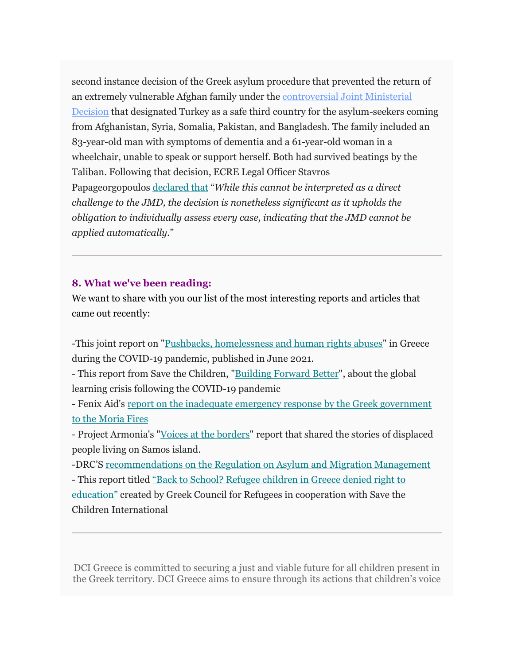second instance decision of the Greek asylum procedure that prevented the return of an extremely vulnerable Afghan family under the [controversial](https://reliefweb.int/report/greece/greece-deems-turkey-safe-refugees-are-not-substantive-examination-asylum-applications) Joint Ministerial Decision that designated Turkey as a safe third country for the asylum-seekers coming from Afghanistan, Syria, Somalia, Pakistan, and Bangladesh. The family included an 83-year-old man with symptoms of dementia and a 61-year-old woman in a wheelchair, unable to speak or support herself. Both had survived beatings by the Taliban. Following that decision, ECRE Legal Officer Stavros Papageorgopoulos [declared](https://ecre.org/greece-appeals-committee-rejects-safe-third-country-return-of-afghan-family-pushbacks-continue-with-ngo-monitoring-prevented/) that "*While this cannot be interpreted as a direct challenge to the JMD, the decision is nonetheless significant as it upholds the obligation to individually assess every case, indicating that the JMD cannot be applied automatically.*"

## **8. What we've been reading:**

We want to share with you our list of the most interesting reports and articles that came out recently:

-This joint report on ["Pushbacks, homelessness and human rights abuses"](https://refugee-rights.eu/wp-content/uploads/2021/06/RRE_pushbacks-homelessness-and-human-rights-abuses.pdf) in Greece during the COVID-19 pandemic, published in June 2021.

- This report from Save the Children, ["Building Forward Better"](https://resourcecentre.savethechildren.net/node/19526/pdf/build-forward-better.pdf), about the global learning crisis following the COVID-19 pandemic

- Fenix Aid's [report on the inadequate emergency response by the Greek government](https://a9ddf9ed-add9-47da-99b2-85f4e198a9a0.usrfiles.com/ugd/a9ddf9_99bdaf9d0c8e45f2852592842eb93c76.pdf)  [to the Moria Fires](https://a9ddf9ed-add9-47da-99b2-85f4e198a9a0.usrfiles.com/ugd/a9ddf9_99bdaf9d0c8e45f2852592842eb93c76.pdf)

- Project Armonia's ["Voices at the borders"](https://secureservercdn.net/160.153.137.218/y5w.ccd.myftpupload.com/wp-content/uploads/2021/07/Voices-at-the-Border-1.pdf) report that shared the stories of displaced people living on Samos island.

-DRC'S recommendations on [the Regulation on Asylum and Migration Management](https://drc.ngo/media/s3cnracy/drc-recommendations-on-the-ramm-august-2021.pdf)

- This report titled ["Back to School? Refugee children in Greece denied right to](https://www.gcr.gr/en/ekdoseis-media/reports/reports/item/1808-back-to-school-refugee-children-in-greece-denied-right-to-education-thematic-report-on-refugee-education-in-greece-by-greek-council-for-refugees-and-save-the-children-international)  [education"](https://www.gcr.gr/en/ekdoseis-media/reports/reports/item/1808-back-to-school-refugee-children-in-greece-denied-right-to-education-thematic-report-on-refugee-education-in-greece-by-greek-council-for-refugees-and-save-the-children-international) created by Greek Council for Refugees in cooperation with Save the Children International

DCI Greece is committed to securing a just and viable future for all children present in the Greek territory. DCI Greece aims to ensure through its actions that children's voice